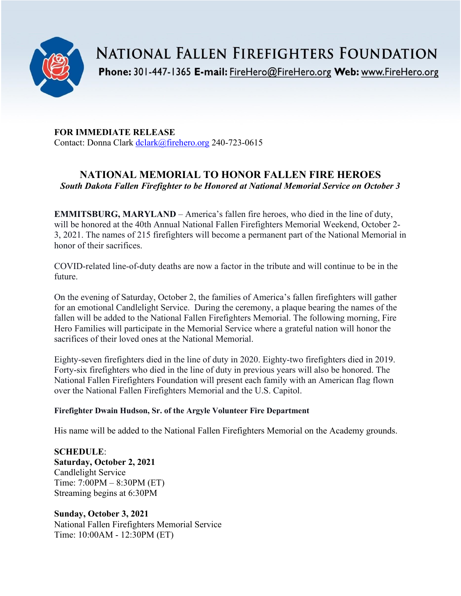

**NATIONAL FALLEN FIREFIGHTERS FOUNDATION** Phone: 301-447-1365 E-mail: FireHero@FireHero.org Web: www.FireHero.org

**FOR IMMEDIATE RELEASE** Contact: Donna Clark [dclark@firehero.org](mailto:dclark@firehero.org) 240-723-0615

## **NATIONAL MEMORIAL TO HONOR FALLEN FIRE HEROES** *South Dakota Fallen Firefighter to be Honored at National Memorial Service on October 3*

**EMMITSBURG, MARYLAND** – America's fallen fire heroes, who died in the line of duty, will be honored at the 40th Annual National Fallen Firefighters Memorial Weekend, October 2- 3, 2021. The names of 215 firefighters will become a permanent part of the National Memorial in honor of their sacrifices.

COVID-related line-of-duty deaths are now a factor in the tribute and will continue to be in the future.

On the evening of Saturday, October 2, the families of America's fallen firefighters will gather for an emotional Candlelight Service. During the ceremony, a plaque bearing the names of the fallen will be added to the National Fallen Firefighters Memorial. The following morning, Fire Hero Families will participate in the Memorial Service where a grateful nation will honor the sacrifices of their loved ones at the National Memorial.

Eighty-seven firefighters died in the line of duty in 2020. Eighty-two firefighters died in 2019. Forty-six firefighters who died in the line of duty in previous years will also be honored. The National Fallen Firefighters Foundation will present each family with an American flag flown over the National Fallen Firefighters Memorial and the U.S. Capitol.

## **Firefighter Dwain Hudson, Sr. of the Argyle Volunteer Fire Department**

His name will be added to the National Fallen Firefighters Memorial on the Academy grounds.

**SCHEDULE**: **Saturday, October 2, 2021** Candlelight Service Time: 7:00PM – 8:30PM (ET) Streaming begins at 6:30PM

**Sunday, October 3, 2021** National Fallen Firefighters Memorial Service Time: 10:00AM - 12:30PM (ET)